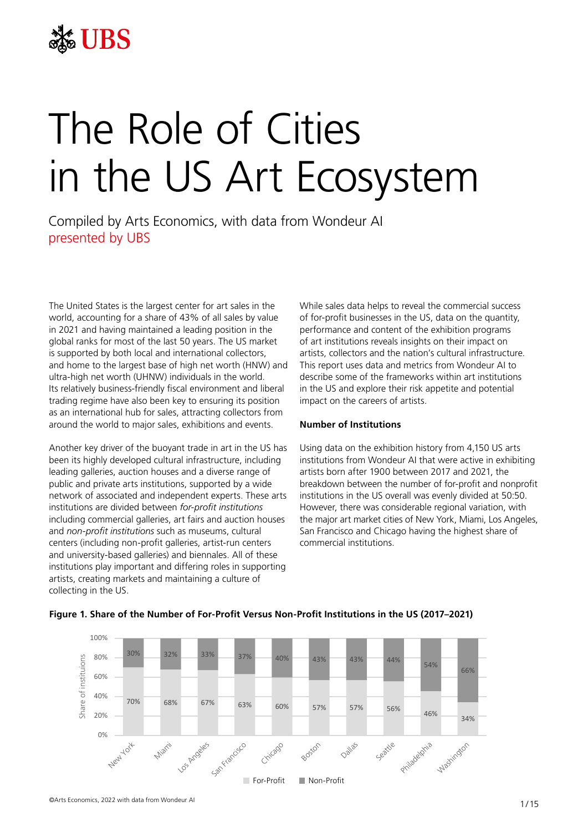

# The Role of Cities in the US Art Ecosystem  $\lambda$  at Cities in l, Compiled by Arts Economics, with data from Wondeur AI THE UNITED STATES IS THE LARGEST CALLENTING sales by value in 2021 and having maintained a leading position in the global ranks for most of the last

Compiled by Arts Economics, with data from Wondeur AI presented by UBS and liberal environment and liberal trading regime have also been key to be also been key to lapsed by this Economics, with data home world. Its

The United States is the largest center for art sales in the sum While sales data helps to reveal the commercial s world, accounting for a share of 43% of all sales by value of for-profit businesses in the US, data on the q in 2021 and having maintained a leading position in the *performance and content of the exhibition prog* global ranks for most of the last 50 years. The US market giobal ratiks for most of the last 50 years. The 65 market the ori art institutions reveals insights on their impact<br>is supported by both local and international collectors, antists, collectors and the nation's cultural in and home to the largest base of high net worth (HNW) and ultra-high net worth (UHNW) individuals in the world. Its relatively business-friendly fiscal environment and liberal trading regime have also been key to ensuring its position as an international hub for sales, attracting collectors from around the world to major sales, exhibitions and events. **Number of Institutions** photical by boarribear and international educators, and uses, concerns and the nation's cartaidriminal details. All of these institutions players and the largest base of high net worth (HNW) and This report uses data and m

Another key driver of the buoyant trade in art in the US has Using data on the exhibition history from 4,150 l Another key driver of the buoyant trade in art in the OS has a USING data on the exhibition mistory from 4,150<br>been its highly developed cultural infrastructure, including a institutions from Wondeur AI that were active in been its highly developed callerial immastracture, including the institutions leading galleries, auction houses and a diverse range of artists born public and private arts institutions, supported by a wide .<br>network of associated and independent experts. These arts institutions are divided between *for-profit institutions*  including commercial galleries, art fairs and auction houses  $-$  the major art market cities of New York, Miami, Los A and *non-profit institutions* such as museums, cultural San Francisco and Chicago having the highest sha centers (including non-profit galleries, artist-run centers commercial institutions in the US over the US over and university-based galleries) and biennales. All of these and differently-based galieries) and bienhales. All or these<br>institutions play important and differing roles in supporting artists, creating markets and maintaining foles in supporting<br>artists, creating markets and maintaining a culture of collecting in the US. Figure 1. Share of the Number of For-Profit Versus Non-Profit Institutions in the US (2017-2021)

While sales data helps to reveal the commercial success of for-profit businesses in the US, data on the quantity, performance and content of the exhibition programs of art institutions reveals insights on their impact on artists, collectors and the nation's cultural infrastructure. a-high net worth (UHNW) individuals in the world. The some of the frameworks within art institutions in the US and explore their risk appetite and potential impact on the careers of artists.

# **Number of Institutions**

Using data on the exhibition history from 4,150 US arts institutions from Wondeur AI that were active in exhibiting artists born after 1900 between 2017 and 2021, the breakdown between the number of for-profit and nonprofit institutions in the US overall was evenly divided at 50:50. However, there was considerable regional variation, with the major art market cities of New York, Miami, Los Angeles, San Francisco and Chicago having the highest share of commercial institutions.



# Figure 1. Share of the Number of For-Profit Versus Non-Profit Institutions in the US (201<mark>7–2021</mark>)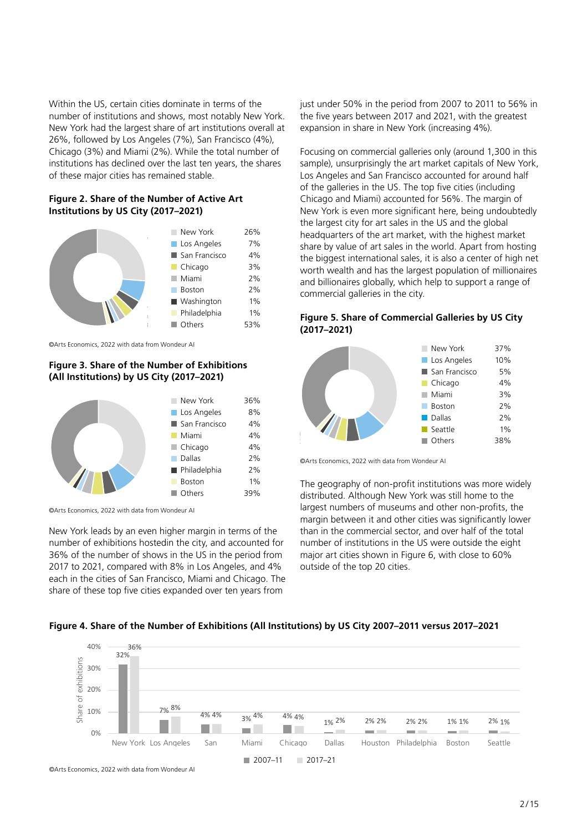Within the US, certain cities dominate in terms of the number of institutions and shows, most notably New York. New York had the largest share of art institutions overall at 26%, followed by Los Angeles (7%), San Francisco (4%), Chicago (3%) and Miami (2%). While the total number of institutions has declined over the last ten years, the shares of these major cities has remained stable. าร<br>เท<br>:r OF these major cities nas remained stable.

# **Figure 2. Share of the Number of Active Art Institutions by US City (2017-2021)**



©Arts Economics, 2022 with data from Wondeur AI washington 1% Philadelphia 1% Philadelphia 1% Philadelphia 1% Philadelphia 1% Philadelphia 1% Philadelphia 1% P

# **Figure 3. Share of the Number of Exhibitions** (All Institutions) by US City (2017–2021)



©Arts Economics, 2022 with data from Wondeur AI *©Arts Economics, 2022 with data from Wondeur AI*

New York leads by an even higher margin in terms of the number of exhibitions hostedin the city, and accounted for 36% of the number of shows in the US in the period from 2017 to 2021, compared with 8% in Los Angeles, and 4% each in the cities of San Francisco, Miami and Chicago. The share of these top five cities expanded over ten years from inew York leads by an even nigher margin in terms c 2017 to 2021, compared with 8% in Los Angeles, an Figure 4. Share of the Number of Exhibitions (All Institutions) by US City 2007-2007-2007-2017-2021-2021-2021-

just under 50% in the period from 2007 to 2011 to 56% in the five years between 2017 and 2021, with the greatest expansion in share in New York (increasing 4%).

Focusing on commercial galleries only (around 1,300 in this res sample), unsurprisingly the art market capitals of New York,<br>Los Angeles and San Francisco accounted for around half Los Angeles and San Francisco accounted for around half of the galleries in the US. The top five cities (including Chicago and Miami) accounted for 56%. The margin of **1)** New York is even more significant here, being undoubtedly the largest city for art sales in the US and the global For art are argest end on commercial galleries in the same the growth.<br>
Fork and the art market, with the highest market Angeles  $\frac{1}{20}$  share by value of art sales in the world. Apart from hosting  $\frac{1}{20}$ Francisco  $4\%$  the biggest international sales, it is also a center of high net ago softh wealth and has the largest population of millionaires market worth wealth and has the largest population of millionaires  $\frac{2\%}{\gamma}$  and billionaires globally, which help to support a range of  $\frac{2\%}{\sqrt{2\pi}}$  commercial galleries in the city. ricauquariers of the art market, with the mynest market

# **Figure 5. Share of Commercial Galleries by US City Figure 5. Share of Commercial Galleries by US City (2017–2021)**



©Arts Economics, 2022 with data from Wondeur AI

The geography of non-profit institutions was more widely ers and the geography of non-profit instituted. Although New York was still home to the largest numbers of museums and other non-profits, the margin between it and other cities was significantly lower than in the commercial sector, and over half of the total number of institutions in the US were outside the eight US in the period from major art cities shown in Figure 6, with close to 60% outside of the top 20 cities. home to the largest numbers of museums and other non-profits of museums and other non-

# 2007-2011 2017-2021 **Figure 4. Share of the Number of Exhibitions (All Institutions) by US City 2007–2011 versus 2017–2021**

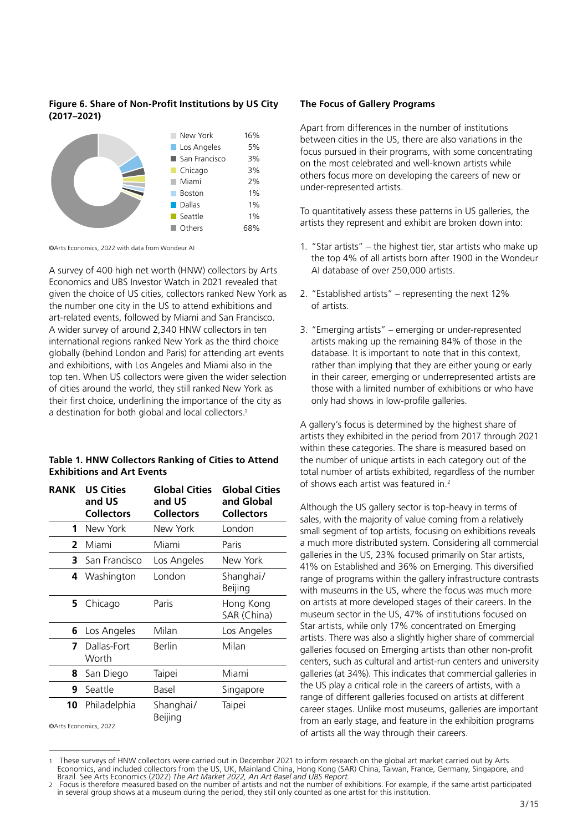# **Figure 6. Share of Non-Profit Institutions by US City (2017–2021)**



©Arts Economics, 2022 with data from Wondeur AI *©Arts Economics, 2022 with data from Wondeur AI*

A survey of 400 high net worth (HNW) collectors by Arts Economics and UBS Investor Watch in 2021 revealed that given the choice of US cities, collectors ranked New York as the number one city in the US to attend exhibitions and art-related events, followed by Miami and San Francisco. A wider survey of around 2,340 HNW collectors in ten international regions ranked New York as the third choice globally (behind London and Paris) for attending art events grobally (behind Edition and Fans) for accenting arc ever<br>and exhibitions, with Los Angeles and Miami also in the top ten. When US collectors were given the wider selection of cities around the world, they still ranked New York as their first choice, underlining the importance of the city as a destination for both global and local collectors.<sup>1</sup> revealed that given the choice of US collectors by An art-felated events, followed by ivilariif and San Francisco. and CAMDRONS, WRIT LOS Angeles an

# **Table 1. HNW Collectors Ranking of Cities to Attend Exhibitions and Art Events**

| <b>RANK</b> | <b>US Cities</b><br>and US<br><b>Collectors</b> | <b>Global Cities</b><br>and US<br><b>Collectors</b> | <b>Global Cities</b><br>and Global<br><b>Collectors</b> |
|-------------|-------------------------------------------------|-----------------------------------------------------|---------------------------------------------------------|
| 1           | New York                                        | New York                                            | London                                                  |
| 2           | Miami                                           | Miami                                               | Paris                                                   |
| 3           | San Francisco                                   | Los Angeles                                         | New York                                                |
|             | 4 Washington                                    | London                                              | Shanghai/<br>Beijing                                    |
| 5.          | Chicago                                         | Paris                                               | Hong Kong<br>SAR (China)                                |
| 6           | Los Angeles                                     | Milan                                               | Los Angeles                                             |
| 7           | Dallas-Fort<br>Worth                            | Berlin                                              | Milan                                                   |
| 8           | San Diego                                       | Taipei                                              | Miami                                                   |
| 9           | Seattle                                         | Basel                                               | Singapore                                               |
| 10          | Philadelphia                                    | Shanghai/<br>Beijing                                | Taipei                                                  |
|             | ©Arts Economics, 2022                           |                                                     |                                                         |

## **The Focus of Gallery Programs**

Apart from differences in the number of institutions between cities in the US, there are also variations in the focus pursued in their programs, with some concentrating on the most celebrated and well-known artists while others focus more on developing the careers of new or under-represented artists.

To quantitatively assess these patterns in US galleries, the artists they represent and exhibit are broken down into:

- 1. "Star artists" the highest tier, star artists who make up the top 4% of all artists born after 1900 in the Wondeur AI database of over 250,000 artists.
- 2. "Established artists" representing the next 12% of artists.
- 3. "Emerging artists" emerging or under-represented artists making up the remaining 84% of those in the database. It is important to note that in this context, rather than implying that they are either young or early in their career, emerging or underrepresented artists are those with a limited number of exhibitions or who have only had shows in low-profile galleries.

A gallery's focus is determined by the highest share of artists they exhibited in the period from 2017 through 2021 within these categories. The share is measured based on the number of unique artists in each category out of the total number of artists exhibited, regardless of the number of shows each artist was featured in.2

Although the US gallery sector is top-heavy in terms of sales, with the majority of value coming from a relatively small segment of top artists, focusing on exhibitions reveals a much more distributed system. Considering all commercial galleries in the US, 23% focused primarily on Star artists, 41% on Established and 36% on Emerging. This diversified range of programs within the gallery infrastructure contrasts with museums in the US, where the focus was much more on artists at more developed stages of their careers. In the museum sector in the US, 47% of institutions focused on Star artists, while only 17% concentrated on Emerging artists. There was also a slightly higher share of commercial galleries focused on Emerging artists than other non-profit centers, such as cultural and artist-run centers and university galleries (at 34%). This indicates that commercial galleries in the US play a critical role in the careers of artists, with a range of different galleries focused on artists at different career stages. Unlike most museums, galleries are important from an early stage, and feature in the exhibition programs of artists all the way through their careers.

<sup>1</sup> These surveys of HNW collectors were carried out in December 2021 to inform research on the global art market carried out by Arts<br>Economics, and included collectors from the US, UK, Mainland China, Hong Kong (SAR) China,

<sup>2</sup> Focus is therefore measured based on the number of artists and not the number of exhibitions. For example, if the same artist participated in several group shows at a museum during the period, they still only counted as one artist for this institution.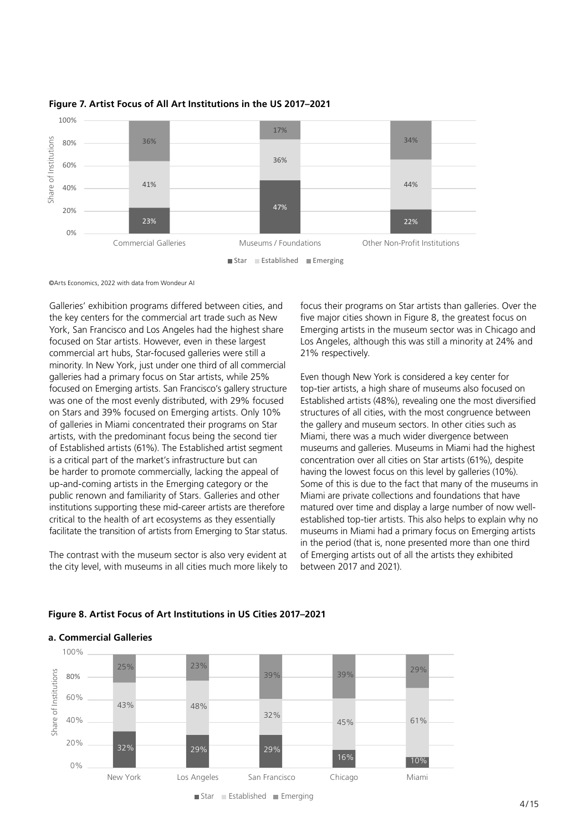

Figure 7. Artist Focus of All Art Institutions in the US 2017–2021

©Arts Economics, 2022 with data from Wondeur AI

Galleries' exhibition programs differed between cities, and focus their programs on Star artists than galle the key centers for the commercial art trade such as New five major cities shown in Figure 8, the greatest York, San Francisco and Los Angeles had the highest share Emerging artists in the museum sector was in ( focused on Star artists. However, even in these largest Los Angeles, although this was still a minority received on Star artists. However, Cremin these largest and Essimingthes, although this the commercial art hubs, Star-focused galleries were still a 21% respectively. minority. In New York, just under one third of all commercial galleries had a primary focus on Star artists, while 25% Fven though New York is considered a key cer focused on Emerging artists. San Francisco's gallery structure top-tier artists, a high share of museums and the five major cities of the five major cities of the five major cities of the five major cities of the five majo was one of the most evenly distributed, with 29% focused For Stars and 39% focused on Emerging artists. Only 10% structures of all cities, with the most congruence on Stars and 39% focused on Emerging artists. Only 10% of galleries in Miami concentrated their programs on Star and the gallery and munitiple of the minority and the minority of galleries. artists, with the predominant focus being the second tier of Established artists (61%). The Established artist segment museums and galleries. Museums in Miami h is a critical part of the market's infrastructure but can<br>concentration over all cities on Star artists (61%), be harder to promote commercially, lacking the appeal of having the lowest focus on this level by galleries (10% up-and-coming artists in the Emerging category or the Some of this is due to the fact that many of the r public renown and familiarity of Stars. Galleries and other public reflowm and familianty of stars. Galleries and other and in are private collections and foundations in the museum sector (61%), institutions supporting these mid-career artists are therefore and matured over time an Institutions supporting these this career artists are therefore. This are the museums supply a large hannoer, radicated to the nearer of art ecosystems as they essentially and established top-tier artists. This also helps to expirite facilitate the transition of artists from Emerging to Star status. Museums in Miami had a primary cilitate the transition of artists from Emerging to Star status. A museur 20% ey<br>S<br>ne

The contrast with the museum sector is also very evident at  $\Box$  of Emerging artists out of all the artists they ex the city level, with museums in all cities much more likely to between 2017 and 2021).

**a. Commercial Galleries a. Commercial Galleries**

focus their programs on Star artists than galleries. Over the five major cities shown in Figure 8, the greatest focus on Emerging artists in the museum sector was in Chicago and Los Angeles, although this was still a minority at 24% and 21% respectively.

Even though New York is considered a key center for top-tier artists, a high share of museums also focused on evenly distributed, with 29% focused Established artists (48%), revealing one the most diversified structures of all cities, with the most congruence between the gallery and museum sectors. In other cities such as Miami, there was a much wider divergence between museums and galleries. Museums in Miami had the highest concentration over all cities on Star artists (61%), despite having the lowest focus on this level by galleries (10%). Some of this is due to the fact that many of the museums in Miami are private collections and foundations that have matured over time and display a large number of now wellestablished top-tier artists. This also helps to explain why no museums in Miami had a primary focus on Emerging artists in the period (that is, none presented more than one third of Emerging artists out of all the artists they exhibited between 2017 and 2021).



# **Figure 8. Artist Focus of Art Institutions in US Cities 2017–2021** Figure 8. Artist Focus of Art Institutions in US Cities 2017-2021

 $\blacksquare$  Star  $\blacksquare$  Established  $\blacksquare$  Emerging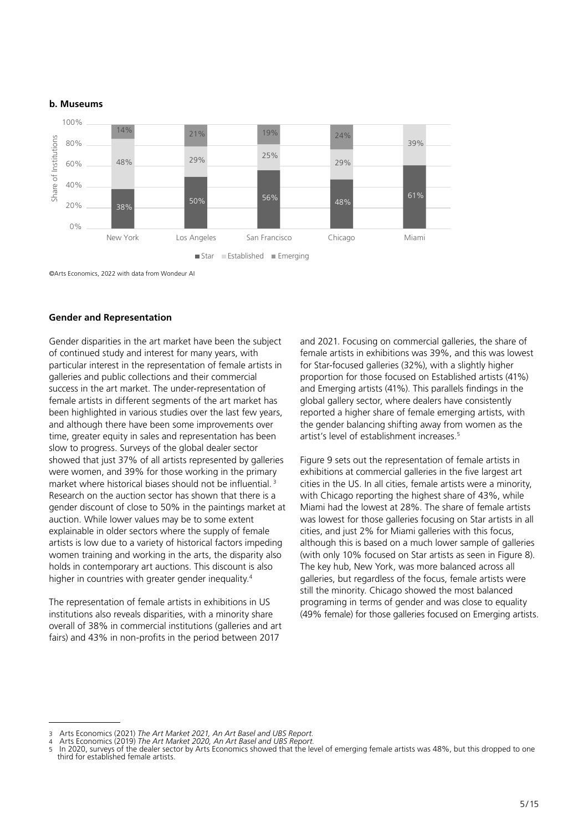## **b. Museums**



*©Arts Economics, 2022 with data from Wondeur AI*

#### **Gender and Representation** General disparities in the art market have been the subject of continued study and interest for many  $\alpha$

Gender disparities in the art market have been the subject and 2021. Focusing on commercial galleries of continued study and interest for many years, with female artists in exhibitions was 39 particular interest in the representation of female artists in for Star-focused galleries (32%), with a slig galleries and public collections and their commercial entity proportion for those focused c success in the art market. The under-representation of and Emerging artists (41%). This parallels fin female artists in different segments of the art market has a global gallery sector, where dealers have been highlighted in various studies over the last few years, reported a higher share of female eme and although there have been some improvements over and annough there have been some improvements over the gender balancing simulig away nonit while lower the painting away nonit while lower the painting avalues in the painting avalues may be the stablishment increases.<sup>5</sup> slow to progress. Surveys of the global dealer sectors where the supply in older supply of the supply of the global dealer sectors where the supply of the supply of the global dealer sectors showed that just 37% of all artists represented by galleries Figure 9 sets out the representation of fem were women, and 39% for those working in the primary exhibitions at commercial galleries in the fi market where historical biases should not be influential.<sup>3</sup> Research on the auction sector has shown that there is a with Chicago reporting the highest shar gender discount of close to 50% in the paintings market at  $\blacksquare$  Miami had the lowest at 28%. The share of auction. While lower values may be to some extent was lowest for those galleries focusing on St explainable in older sectors where the supply of female exhibitions cities, and just 2% for Miami galleries v artists is low due to a variety of historical factors impeding although this is based on a much lower s women training and working in the arts, the disparity also which daming and working in the arts, the disparity also (whilf only 10% focused on star artistical terms) and working in the arts, the disparity also (Whilf Only 10% focused on star artist from the way in concemporary articleaed big artists and the artists and the artists, with the state shaller balance balance balance balance balance balance balance balance balance balance balance balance balance balance ba establishment in countries with Ì

The representation of female artists in exhibitions in US institutions also reveals disparities, with a minority share (49% female) for those galleries focused on overall of 38% in commercial institutions (galleries and art fairs) and 43% in non-profits in the period between 2017

and 2021. Focusing on commercial galleries, the share of female artists in exhibitions was 39%, and this was lowest for Star-focused galleries (32%), with a slightly higher proportion for those focused on Established artists (41%) and Emerging artists (41%). This parallels findings in the global gallery sector, where dealers have consistently reported a higher share of female emerging artists, with the gender balancing shifting away from women as the artist's level of establishment increases.5

Figure 9 sets out the representation of female artists in exhibitions at commercial galleries in the five largest art cities in the US. In all cities, female artists were a minority, with Chicago reporting the highest share of 43%, while Miami had the lowest at 28%. The share of female artists was lowest for those galleries focusing on Star artists in all cities, and just 2% for Miami galleries with this focus, although this is based on a much lower sample of galleries (with only 10% focused on Star artists as seen in Figure 8). The key hub, New York, was more balanced across all galleries, but regardless of the focus, female artists were still the minority. Chicago showed the most balanced programing in terms of gender and was close to equality (49% female) for those galleries focused on Emerging artists.

<sup>3</sup> Arts Economics (2021) *The Art Market 2021, An Art Basel and UBS Report.*

<sup>4</sup> Arts Economics (2019) *The Art Market 2020, An Art Basel and UBS Report.*<br>4 Arts Economics (2019) *The Art Market 2020, An Art Basel and UBS Report.* 

In 2020, surveys of the dealer sector by Arts Economics showed that the level of emerging female artists was 48%, but this dropped to one 3 The Art Market 2021, *The Article artists.*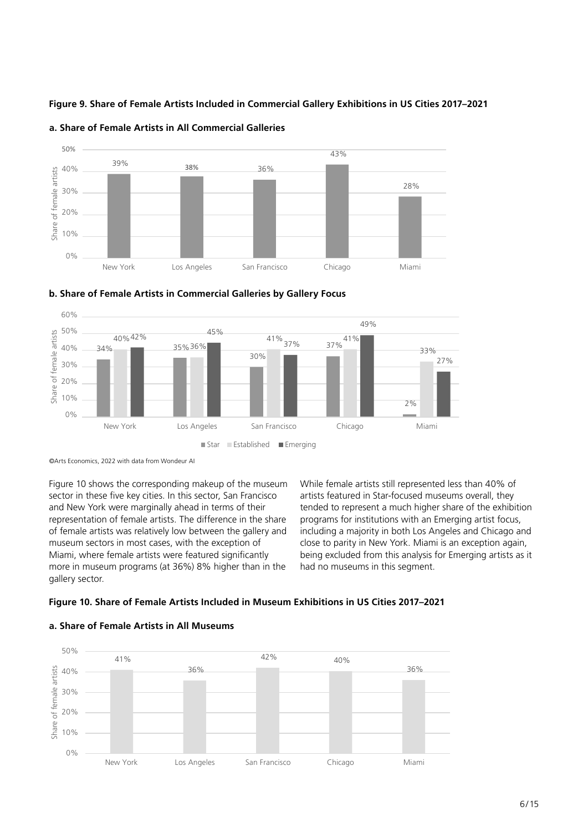Figure 9. Share of Female Artists Included in Commercial Gallery Exhibitions in US Cities 2017–2021







# b. Share of Female Artists in Commercial Galleries by Gallery Focus

Figure 10 shows the corresponding makeup of the museum While female artists still represented let sector in these five key cities. In this sector, San Francisco artists featured in Star-focused museums of<br>An al Mau Markuran magninelly shard in terms of their article of the disconnect a much higher share of and New York were marginally ahead in terms of their and New York were marginally ariead in terms of their and tended to represent a much higher s<br>representation of female artists. The difference in the share aprograms for institutions with an Em representation or remain artists. The unterence in the share apprograms for institutions with an Emer<br>of female artists was relatively low between the gallery and and including a majority in both Los Angel museum sectors in most cases, with the exception of close to parity in New York Miami, where female artists were featured significantly more in museum programs (at 36%) 8% higher than in the had no museums in this segment. gallery sector. **Overall, they tended to represent a much higher share of the exhibition programs for institutions with the exhibition programs for institutions with**  $\alpha$ 

While female artists still represented less than 40% of artists featured in Star-focused museums overall, they tended to represent a much higher share of the exhibition programs for institutions with an Emerging artist focus, including a majority in both Los Angeles and Chicago and close to parity in New York. Miami is an exception again, being excluded from this analysis for Emerging artists as it had no museums in this segment.

#### Figure 10. Share of Female Artists Included in Museum Exhibitions in US Cities 2017–2021 Figure 10. Share of Female Artists Included in Museum Exhibitions in US Cities 2017–2021

# had no museums in this segment. had no museums in this segment. **a. Share of Female Artists in All Museums**



*<sup>©</sup>Arts Economics, 2022 with data from Wondeur AI* ©Arts Economics, 2022 with data from Wondeur AI *©Arts Economics, 2022 with data from Wondeur AI*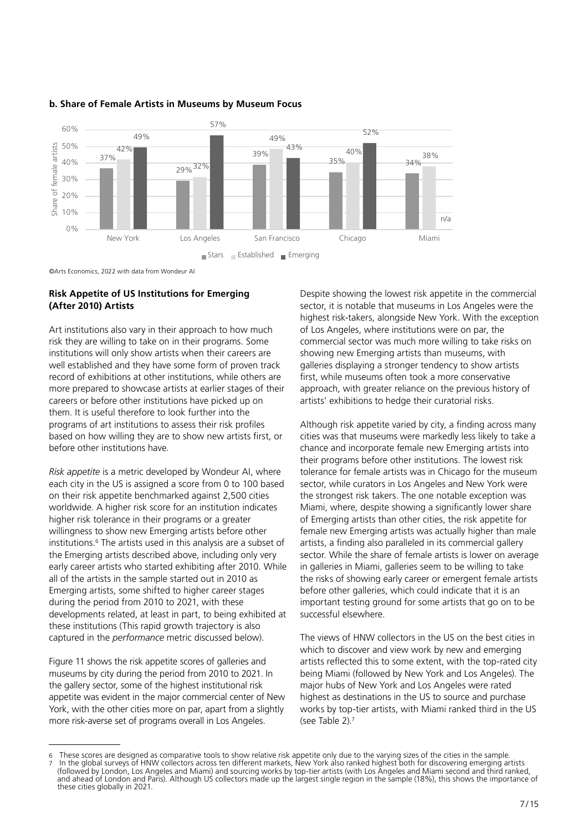

# **b. Share of Female Artists in Museums by Museum Focus b. Share of Female Artists in Museums by Museum Focus**

*©Arts Economics, 2022 with data from Wondeur AI* ©Arts Economics, 2022 with data from Wondeur AI

# **Risk Appetite of US Institutions for Emerging (After 2010) Artists**  Risk Appetite of US Institutions for Emerging (After 2010) Artists

Art institutions also vary in their approach to how much of Los Angeles, where institutions w risk they are willing to take on in their programs. Some commercial sector was much more willin institutions will only show artists when their careers are showing new Emerging artists than mu well established and they have some form of proven track galleries displaying a stronger tendency to s record of exhibitions at other institutions, while others are first, while museums often took a more on more prepared to showcase artists at earlier stages of their approach, with greater reliance on the prev careers or before other institutions have picked up on them. It is useful therefore to look further into the *Riskin. It is useful therefore to look further lifts the*<br>*Risk appetite varied by city, a findi* profiles and a score from AI, where from the US is a score from the US is programs or are institutions to assess their risk promes<br>based on how willing they are to show new artists first, or cities was that museums were markedly les. before other institutions have. chance and incorporate female new Emerging artists into before other institutions have.<br>
Chance and incorporate female new Emerging artists into

Risk appetite is a metric developed by Wondeur AI, where tolerance for female artists was in Chicago each city in the US is assigned a score from 0 to 100 based sector, while curators in Los Angeles and on their risk appetite benchmarked against 2,500 cities entil the strongest risk takers. The one notable ex worldwide. A higher risk score for an institution indicates and Miami, where, despite showing a signific higher risk tolerance in their programs or a greater willingness to show new Emerging artists before other institutions.<sup>6</sup> The artists used in this analysis are a subset of Institutions. The artists described above, including only very sector. While the share of female artist described above, including only very sector. While the share of female artist early career artists who started exhibiting after 2010. While in galleries in Miami, galleries seem to be all of the artists in the sample started out in 2010 as the risks of showing early career or emergent and of the artists in the sample started out in 2010 as Emerging artists, some shifted to higher career stages during the period from 2010 to 2021, with these developments related, at least in part, to being exhibited at these institutions (This rapid growth trajectory is also captured in the *performance* metric discussed below).

Figure 11 shows the risk appetite scores of galleries and rigure in shows the risk appetite scores or galleries and and artists reflected this to some extent, with the<br>museums by city during the period from 2010 to 2021. In being Miami (followed by New York and Los the gallery sector, some of the highest institutional risk appetite was evident in the major commercial center of New York, with the other cities more on par, apart from a slightly more risk-averse set of programs overall in Los Angeles.

Despite showing the lowest risk appetite in the commercial sector, it is notable that museums in Los Angeles were the highest risk-takers, alongside New York. With the exception of Los Angeles, where institutions were on par, the commercial sector was much more willing to take risks on showing new Emerging artists than museums, with galleries displaying a stronger tendency to show artists first, while museums often took a more conservative approach, with greater reliance on the previous history of artists' exhibitions to hedge their curatorial risks.

Although risk appetite varied by city, a finding across many cities was that museums were markedly less likely to take a their programs before other institutions. The lowest risk tolerance for female artists was in Chicago for the museum sector, while curators in Los Angeles and New York were the strongest risk takers. The one notable exception was Miami, where, despite showing a significantly lower share of Emerging artists than other cities, the risk appetite for female new Emerging artists was actually higher than male artists, a finding also paralleled in its commercial gallery sector. While the share of female artists is lower on average in galleries in Miami, galleries seem to be willing to take the risks of showing early career or emergent female artists before other galleries, which could indicate that it is an important testing ground for some artists that go on to be successful elsewhere.

> The views of HNW collectors in the US on the best cities in which to discover and view work by new and emerging artists reflected this to some extent, with the top-rated city being Miami (followed by New York and Los Angeles). The major hubs of New York and Los Angeles were rated highest as destinations in the US to source and purchase works by top-tier artists, with Miami ranked third in the US (see Table 2).7

<sup>6</sup> These scores are designed as comparative tools to show relative risk appetite only due to the varying sizes of the cities in the sample. 7 In the global surveys of HNW collectors across ten different markets, New York also ranked highest both for discovering emerging artists (followed by London, Los Angeles and Miami) and sourcing works by top-tier artists (with Los Angeles and Miami second and third ranked, and ahead of London and Paris). Although US collectors made up the largest single region in the sample (18%), this shows the importance of these cities globally in 2021.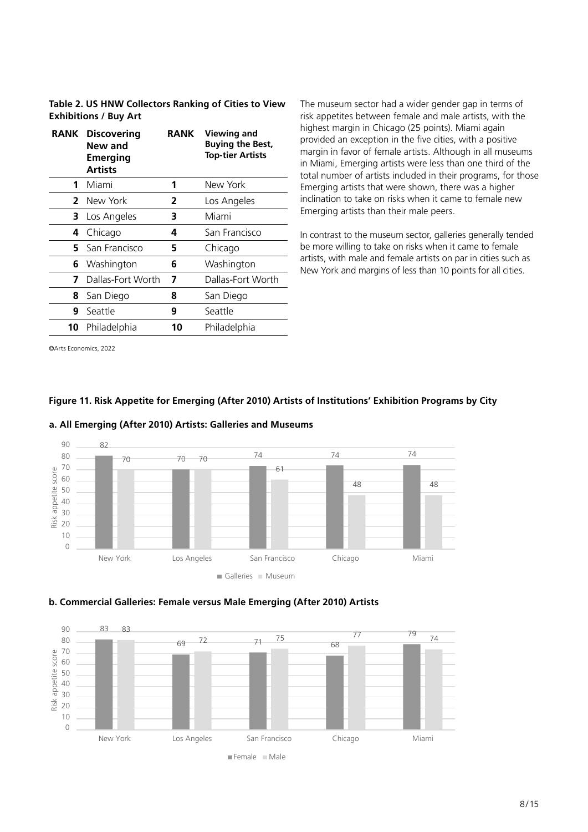**Table 2. US HNW Collectors Ranking of Cities to View Exhibitions / Buy Art**

|    | <b>RANK Discovering</b><br>New and<br><b>Emerging</b><br><b>Artists</b> | <b>RANK</b> | <b>Viewing and</b><br><b>Buying the Best,</b><br><b>Top-tier Artists</b> |
|----|-------------------------------------------------------------------------|-------------|--------------------------------------------------------------------------|
| 1  | Miami                                                                   | 1           | New York                                                                 |
| 2  | New York                                                                | 2           | Los Angeles                                                              |
| 3  | Los Angeles                                                             | з           | Miami                                                                    |
| 4  | Chicago                                                                 | 4           | San Francisco                                                            |
| 5. | San Francisco                                                           | 5           | Chicago                                                                  |
| 6  | Washington                                                              | 6           | Washington                                                               |
| 7  | Dallas-Fort Worth                                                       | 7           | Dallas-Fort Worth                                                        |
| 8  | San Diego                                                               | 8           | San Diego                                                                |
| 9  | Seattle                                                                 | 9           | Seattle                                                                  |
| 10 | Philadelphia                                                            | 10          | Philadelphia                                                             |
|    |                                                                         |             |                                                                          |

The museum sector had a wider gender gap in terms of risk appetites between female and male artists, with the highest margin in Chicago (25 points). Miami again provided an exception in the five cities, with a positive margin in favor of female artists. Although in all museums in Miami, Emerging artists were less than one third of the total number of artists included in their programs, for those Emerging artists that were shown, there was a higher inclination to take on risks when it came to female new Emerging artists than their male peers.

In contrast to the museum sector, galleries generally tended be more willing to take on risks when it came to female artists, with male and female artists on par in cities such as New York and margins of less than 10 points for all cities.

©Arts Economics, 2022

#### 82 <sup>70</sup> <sup>74</sup> <sup>74</sup> <sup>74</sup> 70 70 61 48 48 0 20 10 30 20 30 40 50 60 70 80 90 New York Los Angeles San Francisco Chicago Miami Risk appetite score San Francisco **San Galleries Chicago Museum** <sup>70</sup> <sup>74</sup> <sup>74</sup> <sup>74</sup> 70 70 48 48  $\overline{20}$  $\overline{50}$  $\overline{10}$  $50$  $\epsilon$ 0  $\overline{70}$ Risk appetite

**Figure 11. Risk Appetite for Emerging (After 2010) Artists of Institutions' Exhibition Programs by City**

# **a. All Emerging (After 2010) Artists: Galleries and Museums**



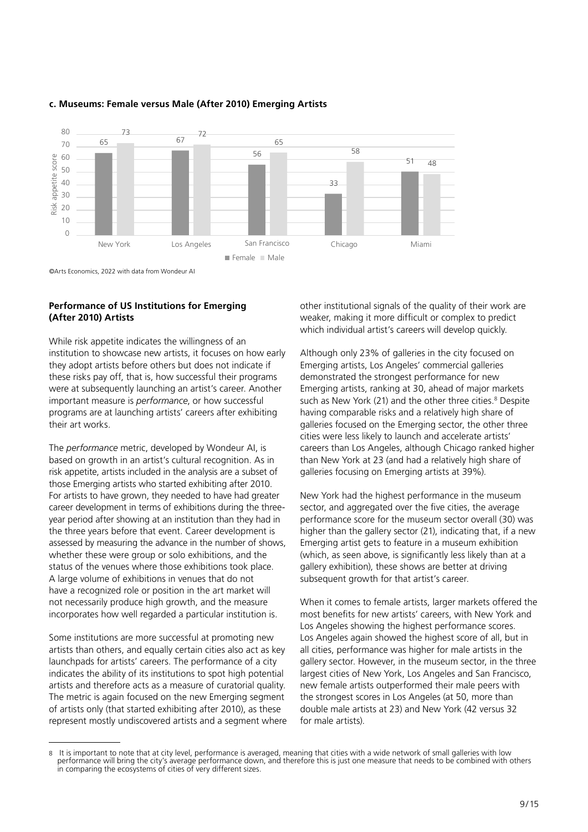

# **c. Museums: Female versus Male (After 2010) Emerging Artists c. Museums: Female versus Male (After 2010) Emerging Artists**

#### **Performance of US Institutions for Emerging** and a bother institutional signals of the **Preference of US** Institutions **Fig. 2. US (After 2010) Artists RANKA CONSTRUCTER ARTISTS IN EMERGING** And BUYING ARTISTS AND BUYING AND BUYING AND BUYING AND BUYING AND BUYING A

while risk appetite indicates the willingness of an **11 <b>11 Indicates** while nine willingness of an institution to showcase new artists, it focuses on how early Although or they adopt artists before others but does not indicate if **38 Lick Angeles Emergi** these risks pay off, that is, how successful their programs demonstrated were at subsequently launching an artist's career. Another important measure is *performance*, or how successful such as l programs are at launching artists' careers after exhibiting having comp their art works. **7** Dallas-Forth Works-Forth World World World World World World World World World World World World World World W<br>The Contract World World World World World World World World World World World World World World World Worl

The *performance* metric, developed by Wondeur AI, is based on growth in an artist's cultural recognition. As in risk appetite, artists included in the analysis are a subset of those Emerging artists who started exhibiting after 2010. *Draft April 6* 11 For artists to have grown, they needed to have had greater career development in terms of exhibitions during the threeyear period after showing at an institution than they had in the three years before that event. Career development is assessed by measuring the advance in the number of shows, whether these were group or solo exhibitions, and the status of the venues where those exhibitions took place. A large volume of exhibitions in venues that do not have a recognized role or position in the art market will not necessarily produce high growth, and the measure incorporates how well regarded a particular institution is.

Some institutions are more successful at promoting new artists than others, and equally certain cities also act as key launchpads for artists' careers. The performance of a city indicates the ability of its institutions to spot high potential artists and therefore acts as a measure of curatorial quality. The metric is again focused on the new Emerging segment of artists only (that started exhibiting after 2010), as these represent mostly undiscovered artists and a segment where other institutional signals of the quality of their work are weaker, making it more difficult or complex to predict which individual artist's careers will develop quickly.

Although only 23% of galleries in the city focused on Emerging artists, Los Angeles' commercial galleries demonstrated the strongest performance for new Emerging artists, ranking at 30, ahead of major markets such as New York (21) and the other three cities.<sup>8</sup> Despite having comparable risks and a relatively high share of galleries focused on the Emerging sector, the other three cities were less likely to launch and accelerate artists' careers than Los Angeles, although Chicago ranked higher than New York at 23 (and had a relatively high share of galleries focusing on Emerging artists at 39%).

New York had the highest performance in the museum sector, and aggregated over the five cities, the average performance score for the museum sector overall (30) was higher than the gallery sector (21), indicating that, if a new Emerging artist gets to feature in a museum exhibition (which, as seen above, is significantly less likely than at a gallery exhibition), these shows are better at driving subsequent growth for that artist's career.

When it comes to female artists, larger markets offered the most benefits for new artists' careers, with New York and Los Angeles showing the highest performance scores. Los Angeles again showed the highest score of all, but in all cities, performance was higher for male artists in the gallery sector. However, in the museum sector, in the three largest cities of New York, Los Angeles and San Francisco, new female artists outperformed their male peers with the strongest scores in Los Angeles (at 50, more than double male artists at 23) and New York (42 versus 32 for male artists).

<sup>8</sup> It is important to note that at city level, performance is averaged, meaning that cities with a wide network of small galleries with low performance will bring the city's average performance down, and therefore this is just one measure that needs to be combined with others in comparing the ecosystems of cities of very different sizes.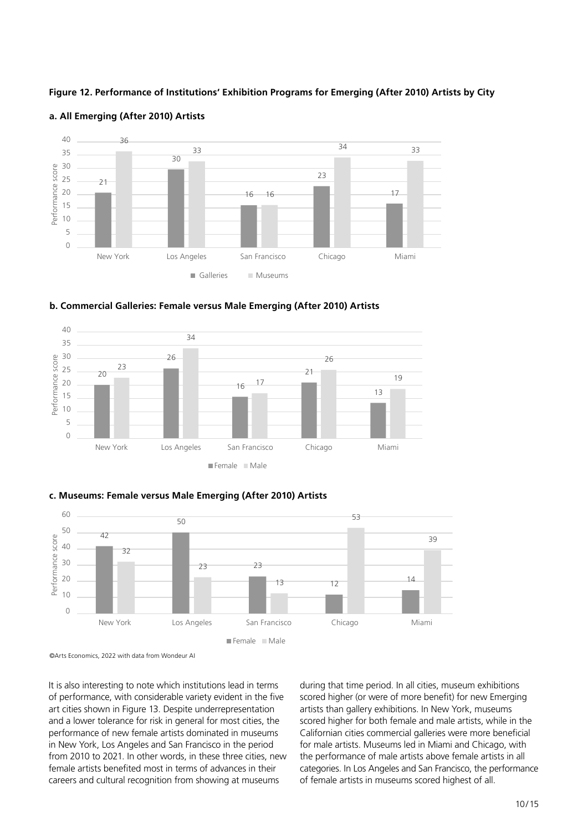# Figure 12. Performance of Institutions' Exhibition Programs for Emerging (After 2010) Artists by City



# a. All Emerging (After 2010) Artists of Institutions **Exhibition Programs by City City Constitution**







# 60 60 **c. Museums: Female versus Male Emerging (After 2010) Artists c. Museums: Female versus Male Emerging (After 2010) Artists**

It is also interesting to note which institutions lead in terms and uring that time period. In all cities, n of performance, with considerable variety evident in the five scored higher (or were of more benefit) for art cities shown in Figure 13. Despite underrepresentation artists than gallery exhibitions. In New York, and a lower tolerance for risk in general for most cities, the scored higher for both female and male arti performance of new female artists dominated in museums in New York, Los Angeles and San Francisco in the period for male artists. Museums led in Miami and C from 2010 to 2021. In other words, in these three cities, new the performance of male artists above female female artists benefited most in terms of advances in their categories. In Los Angeles and San Francisco, t careers and cultural recognition from showing at museums

during that time period. In all cities, museum exhibitions scored higher (or were of more benefit) for new Emerging artists than gallery exhibitions. In New York, museums scored higher for both female and male artists, while in the Californian cities commercial galleries were more beneficial for male artists. Museums led in Miami and Chicago, with the performance of male artists above female artists in all categories. In Los Angeles and San Francisco, the performance of female artists in museums scored highest of all.

*<sup>©</sup>Arts Economics, 2022 with data from Wondeur AI* ©Arts Economics, 2022 with data from Wondeur AI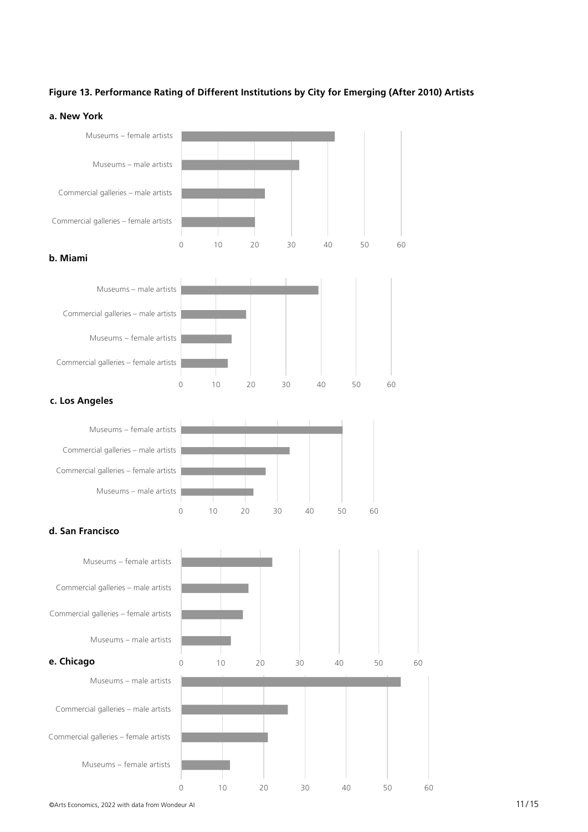# **Figure 13. Performance Rating of Different Institutions by City for Emerging (After 2010) Artists** a. New York

# **a. New York**



©Arts Economics, 2022 with data from Wondeur AI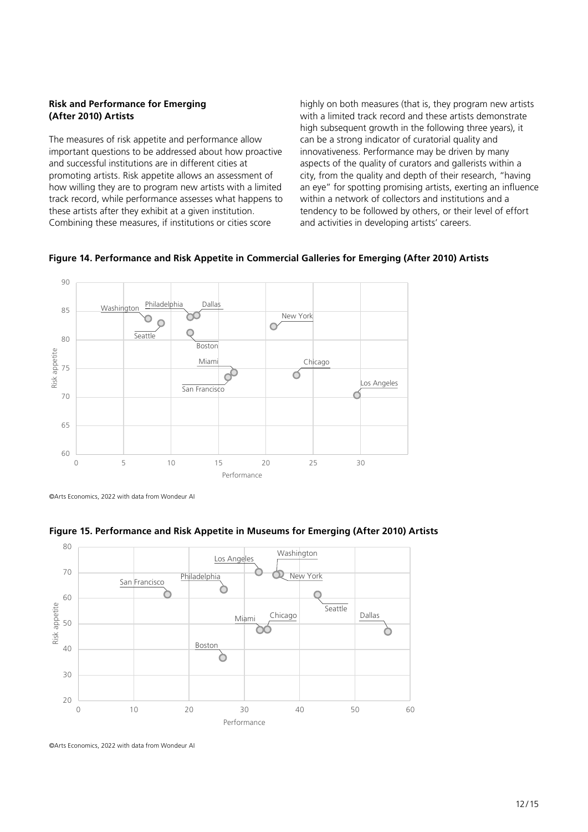# **Risk and Performance for Emerging (After 2010) Artists**

The measures of risk appetite and performance allow important questions to be addressed about how proactive and successful institutions are in different cities at promoting artists. Risk appetite allows an assessment of how willing they are to program new artists with a limited track record, while performance assesses what happens to these artists after they exhibit at a given institution. Combining these measures, if institutions or cities score

highly on both measures (that is, they program new artists with a limited track record and these artists demonstrate high subsequent growth in the following three years), it can be a strong indicator of curatorial quality and innovativeness. Performance may be driven by many aspects of the quality of curators and gallerists within a city, from the quality and depth of their research, "having an eye" for spotting promising artists, exerting an influence within a network of collectors and institutions and a tendency to be followed by others, or their level of effort and activities in developing artists' careers.



# **Figure 14. Performance and Risk Appetite in Commercial Galleries for Emerging (After 2010) Artists**

<sup>©</sup>Arts Economics, 2022 with data from Wondeur AI



# **Figure 15. Performance and Risk Appetite in Museums for Emerging (After 2010) Artists**

<sup>©</sup>Arts Economics, 2022 with data from Wondeur AI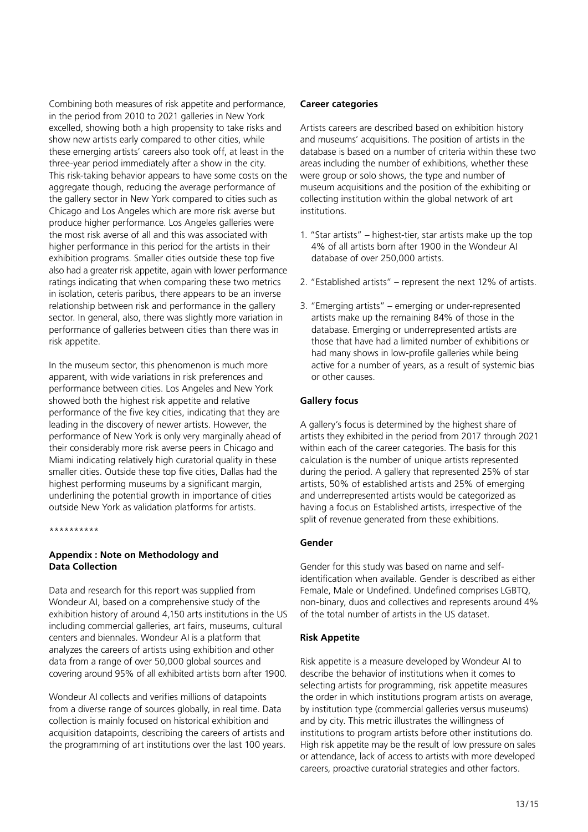Combining both measures of risk appetite and performance, in the period from 2010 to 2021 galleries in New York excelled, showing both a high propensity to take risks and show new artists early compared to other cities, while these emerging artists' careers also took off, at least in the three-year period immediately after a show in the city. This risk-taking behavior appears to have some costs on the aggregate though, reducing the average performance of the gallery sector in New York compared to cities such as Chicago and Los Angeles which are more risk averse but produce higher performance. Los Angeles galleries were the most risk averse of all and this was associated with higher performance in this period for the artists in their exhibition programs. Smaller cities outside these top five also had a greater risk appetite, again with lower performance ratings indicating that when comparing these two metrics in isolation, ceteris paribus, there appears to be an inverse relationship between risk and performance in the gallery sector. In general, also, there was slightly more variation in performance of galleries between cities than there was in risk appetite.

In the museum sector, this phenomenon is much more apparent, with wide variations in risk preferences and performance between cities. Los Angeles and New York showed both the highest risk appetite and relative performance of the five key cities, indicating that they are leading in the discovery of newer artists. However, the performance of New York is only very marginally ahead of their considerably more risk averse peers in Chicago and Miami indicating relatively high curatorial quality in these smaller cities. Outside these top five cities, Dallas had the highest performing museums by a significant margin, underlining the potential growth in importance of cities outside New York as validation platforms for artists.

\*\*\*\*\*\*\*\*\*\*

# **Appendix : Note on Methodology and Data Collection**

Data and research for this report was supplied from Wondeur AI, based on a comprehensive study of the exhibition history of around 4,150 arts institutions in the US including commercial galleries, art fairs, museums, cultural centers and biennales. Wondeur AI is a platform that analyzes the careers of artists using exhibition and other data from a range of over 50,000 global sources and covering around 95% of all exhibited artists born after 1900*.* 

Wondeur AI collects and verifies millions of datapoints from a diverse range of sources globally, in real time. Data collection is mainly focused on historical exhibition and acquisition datapoints, describing the careers of artists and the programming of art institutions over the last 100 years.

#### **Career categories**

Artists careers are described based on exhibition history and museums' acquisitions. The position of artists in the database is based on a number of criteria within these two areas including the number of exhibitions, whether these were group or solo shows, the type and number of museum acquisitions and the position of the exhibiting or collecting institution within the global network of art institutions.

- 1. "Star artists" highest-tier, star artists make up the top 4% of all artists born after 1900 in the Wondeur AI database of over 250,000 artists.
- 2. "Established artists" represent the next 12% of artists.
- 3. "Emerging artists" emerging or under-represented artists make up the remaining 84% of those in the database. Emerging or underrepresented artists are those that have had a limited number of exhibitions or had many shows in low-profile galleries while being active for a number of years, as a result of systemic bias or other causes.

# **Gallery focus**

A gallery's focus is determined by the highest share of artists they exhibited in the period from 2017 through 2021 within each of the career categories. The basis for this calculation is the number of unique artists represented during the period. A gallery that represented 25% of star artists, 50% of established artists and 25% of emerging and underrepresented artists would be categorized as having a focus on Established artists, irrespective of the split of revenue generated from these exhibitions.

#### **Gender**

Gender for this study was based on name and selfidentification when available. Gender is described as either Female, Male or Undefined. Undefined comprises LGBTQ, non-binary, duos and collectives and represents around 4% of the total number of artists in the US dataset.

# **Risk Appetite**

Risk appetite is a measure developed by Wondeur AI to describe the behavior of institutions when it comes to selecting artists for programming, risk appetite measures the order in which institutions program artists on average, by institution type (commercial galleries versus museums) and by city. This metric illustrates the willingness of institutions to program artists before other institutions do. High risk appetite may be the result of low pressure on sales or attendance, lack of access to artists with more developed careers, proactive curatorial strategies and other factors.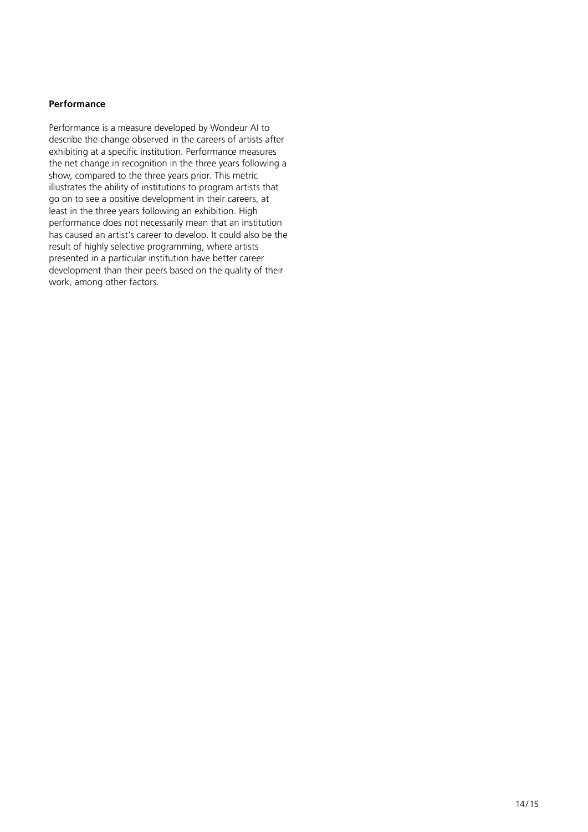# **Performance**

Performance is a measure developed by Wondeur AI to describe the change observed in the careers of artists after exhibiting at a specific institution. Performance measures the net change in recognition in the three years following a show, compared to the three years prior. This metric illustrates the ability of institutions to program artists that go on to see a positive development in their careers, at least in the three years following an exhibition. High performance does not necessarily mean that an institution has caused an artist's career to develop. It could also be the result of highly selective programming, where artists presented in a particular institution have better career development than their peers based on the quality of their work, among other factors*.*